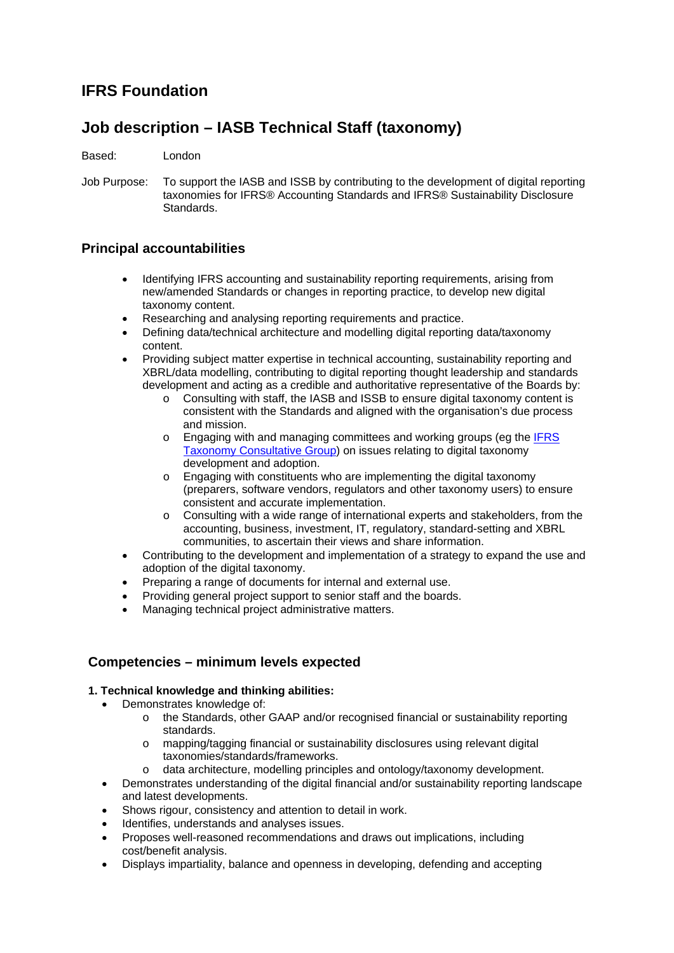# **IFRS Foundation**

# **Job description – IASB Technical Staff (taxonomy)**

Based: London

Job Purpose: To support the IASB and ISSB by contributing to the development of digital reporting taxonomies for IFRS® Accounting Standards and IFRS® Sustainability Disclosure Standards.

## **Principal accountabilities**

- Identifying IFRS accounting and sustainability reporting requirements, arising from new/amended Standards or changes in reporting practice, to develop new digital taxonomy content.
- Researching and analysing reporting requirements and practice.
- Defining data/technical architecture and modelling digital reporting data/taxonomy content.
- Providing subject matter expertise in technical accounting, sustainability reporting and XBRL/data modelling, contributing to digital reporting thought leadership and standards development and acting as a credible and authoritative representative of the Boards by:
	- o Consulting with staff, the IASB and ISSB to ensure digital taxonomy content is consistent with the Standards and aligned with the organisation's due process and mission.
	- o Engaging with and managing committees and working groups (eg the [IFRS](https://www.ifrs.org/groups/ifrs-taxonomy-consultative-group/)  [Taxonomy Consultative Group\)](https://www.ifrs.org/groups/ifrs-taxonomy-consultative-group/) on issues relating to digital taxonomy development and adoption.
	- o Engaging with constituents who are implementing the digital taxonomy (preparers, software vendors, regulators and other taxonomy users) to ensure consistent and accurate implementation.
	- $\circ$  Consulting with a wide range of international experts and stakeholders, from the accounting, business, investment, IT, regulatory, standard-setting and XBRL communities, to ascertain their views and share information.
- Contributing to the development and implementation of a strategy to expand the use and adoption of the digital taxonomy.
- Preparing a range of documents for internal and external use.
- Providing general project support to senior staff and the boards.
- Managing technical project administrative matters.

## **Competencies – minimum levels expected**

### **1. Technical knowledge and thinking abilities:**

- Demonstrates knowledge of:
	- o the Standards, other GAAP and/or recognised financial or sustainability reporting standards.
	- o mapping/tagging financial or sustainability disclosures using relevant digital taxonomies/standards/frameworks.
	- o data architecture, modelling principles and ontology/taxonomy development.
- Demonstrates understanding of the digital financial and/or sustainability reporting landscape and latest developments.
- Shows rigour, consistency and attention to detail in work.
- Identifies, understands and analyses issues.
- Proposes well-reasoned recommendations and draws out implications, including cost/benefit analysis.
- Displays impartiality, balance and openness in developing, defending and accepting